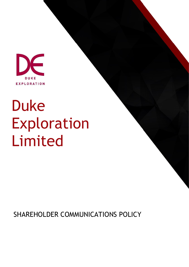

# Duke Exploration Limited

SHAREHOLDER COMMUNICATIONS POLICY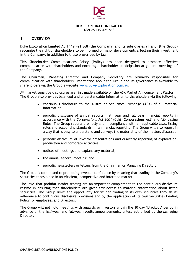

# **DUKE EXPLORATION LIMITED**

ABN 28 119 421 868

### **1 OVERVIEW**

Duke Exploration Limited ACN 119 421 868 (**the Company**) and its subsidiaries (if any) (the **Group**) recognise the right of shareholders to be informed of major developments affecting their investment in the Company, in addition to those prescribed by law.

This Shareholder Communications Policy (**Policy**) has been designed to promote effective communication with shareholders and encourage shareholder participation at general meetings of the Company.

The Chairman, Managing Director and Company Secretary are primarily responsible for communication with shareholders. Information about the Group and its governance is available to shareholders via the Group's website [www.Duke-Exploration.com.au.](http://www.duke-exploration.com.au/)

All market sensitive disclosures are first made available on the ASX Market Announcement Platform. The Group also provides balanced and understandable information to shareholders via the following:

- continuous disclosure to the Australian Securities Exchange (**ASX**) of all material information;
- periodic disclosure of annual reports, half year and full year financial reports in accordance with the *Corporations Act 2001* (Cth) (**Corporations Act**) and ASX Listing Rules. The Group reports promptly and in compliance with all applicable laws, listing rules and accounting standards in its financial reporting. The Group will also report in a way that is easy to understand and conveys the materiality of the matters discussed;
- periodic disclosure of investor presentations and quarterly reporting of exploration, production and corporate activities;
- notices of meetings and explanatory material;
- the annual general meeting; and
- periodic newsletters or letters from the Chairman or Managing Director.

The Group is committed to promoting investor confidence by ensuring that trading in the Company's securities takes place in an efficient, competitive and informed market.

The laws that prohibit insider trading are an important complement to the continuous disclosure regime in ensuring that shareholders are given fair access to material information about listed securities. The Group limits the opportunity for insider trading in its own securities through its adherence to continuous disclosure provisions and by the application of its own Securities Dealing Policy for employees and Directors.

The Group will not hold meetings with analysts or investors within the 10 day 'blackout' period in advance of the half-year and full-year results announcements, unless authorised by the Managing Director.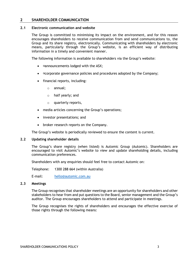# **2 SHAREHOLDER COMMUNICATION**

#### **2.1 Electronic communication and website**

The Group is committed to minimising its impact on the environment, and for this reason encourages shareholders to receive communication from and send communications to, the Group and its share registry, electronically. Communicating with shareholders by electronic means, particularly through the Group's website, is an efficient way of distributing information in a timely and convenient manner.

The following information is available to shareholders via the Group's website:

- ¤announcements lodged with the ASX;
- ¤ ¤ corporate governance policies and procedures adopted by the Company;
- financial reports, including:
	- o annual;
	- o half yearly; and
	- o quarterly reports,
- media articles concerning the Group's operations;
- investor presentations; and
- broker research reports on the Company.

The Group's website is periodically reviewed to ensure the content is current.

#### **2.2 Updating shareholder details**

The Group's share registry (when listed) is Automic Group (Automic). Shareholders are encouraged to visit Automic's website to view and update shareholding details, including communication preferences.

Shareholders with any enquiries should feel free to contact Automic on:

Telephone: 1300 288 664 (within Australia)

E-mail: [hello@automic.com.au](mailto:hello@automic.com.au)

#### **2.3 Meetings**

The Group recognises that shareholder meetings are an opportunity for shareholders and other stakeholders to hear from and put questions to the Board, senior management and the Group's auditor. The Group encourages shareholders to attend and participate in meetings.

The Group recognises the rights of shareholders and encourages the effective exercise of those rights through the following means: